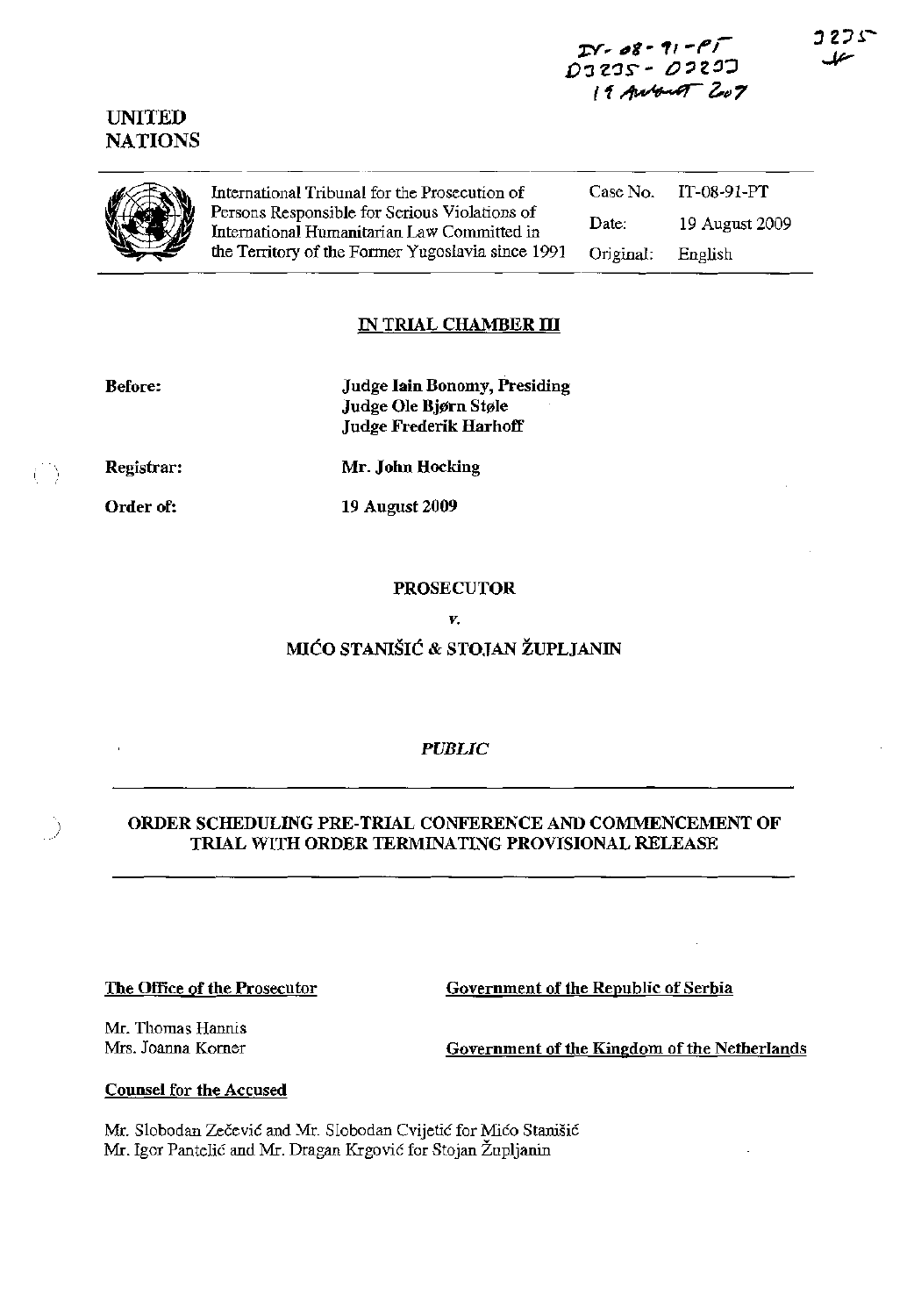# $IN - 08 - 11 - P$ DI 205 - *O* 205 D 19 Auburt 207



**UNITED NATIONS** 

> International Tribunal for the Prosecution of Persons Responsible for Serious Violations of International Humanitarian Law Committed in the Territory of the Former Yugoslavia since 1991

Case No. IT-08-91-PT Date: 19 August 2009 Original: English

## IN TRIAL CHAMBER III

| <b>Before:</b> | <b>Judge Iain Bonomy, Presiding</b><br>Judge Ole Bjørn Støle<br>Judge Frederik Harhoff |
|----------------|----------------------------------------------------------------------------------------|
| Registrar:     | Mr. John Hocking                                                                       |
| Order of:      | 19 August 2009                                                                         |

V.

# MIĆO STANIŠIĆ & STOJAN ŽUPLJANIN

## **PUBLIC**

## ORDER SCHEDULING PRE-TRIAL CONFERENCE AND COMMENCEMENT OF TRIAL WITH ORDER TERMINATING PROVISIONAL RELEASE

#### The Office of the Prosecutor

Government of the Republic of Serbia

Mr. Thomas Hannis Mrs. Joanna Korner

- )

Government of the Kingdom of the Netherlands

## **Counsel for the Accused**

Mr. Slobodan Zečević and Mr. Slobodan Cvijetić for Mićo Stanišić Mr. Igor Pantelić and Mr. Dragan Krgović for Stojan Župljanin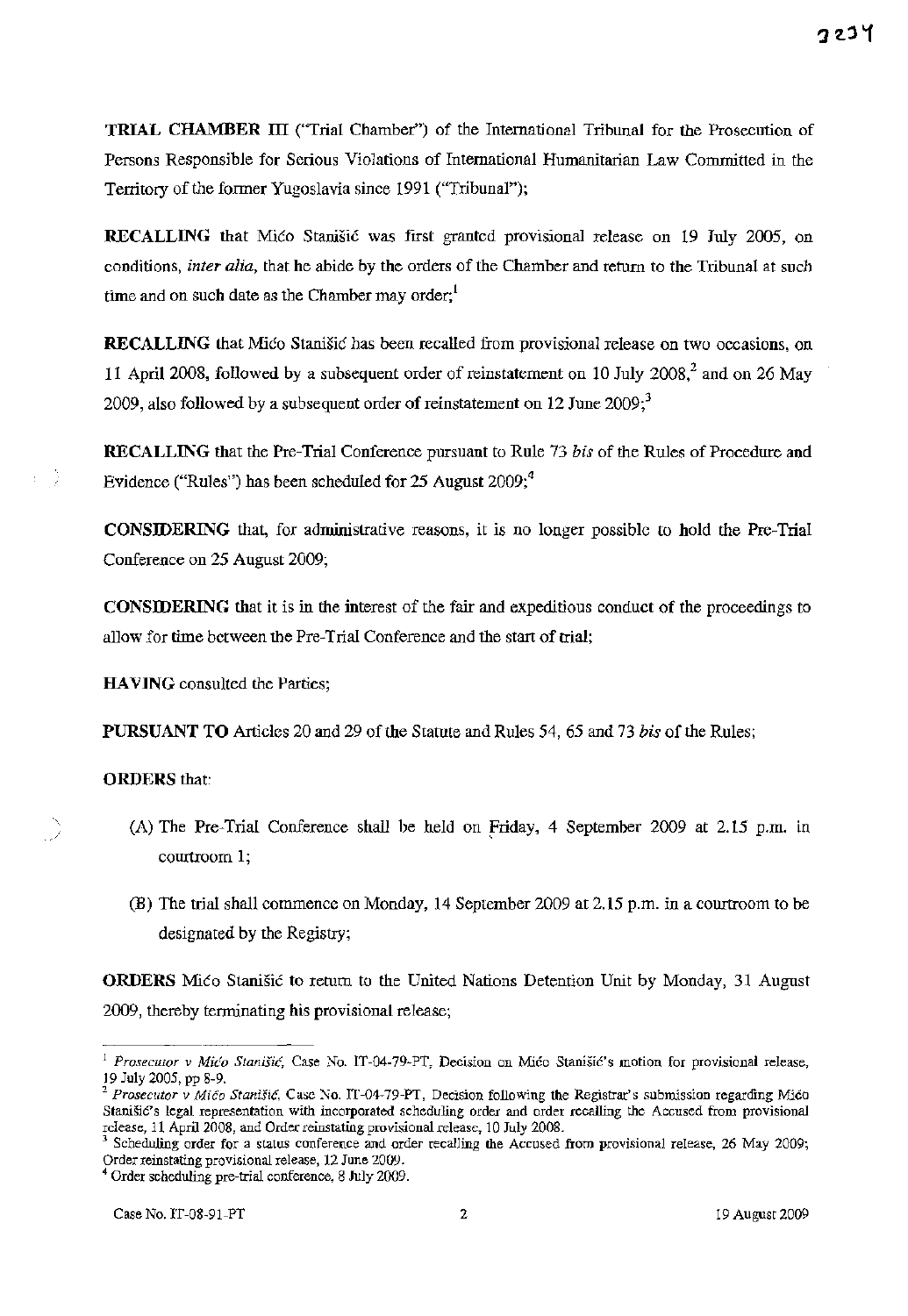**TRIAL CHAMBER III** ("Trial Chamber") of the International Tribunal for the Prosecution of Persons Responsible for Serious Violations of International Humanitarian Law Committed in the Territory of the former Yugoslavia since 1991 (''Tribunal'');

**RECALLING** that Mico Stanisic was first granted provisional release on 19 July 2005, on conditions, *inter alia*, that he abide by the orders of the Chamber and return to the Tribunal at such time and on such date as the Chamber may order;<sup>1</sup>

**RECALLING** that Mico Stanisic has been recalled from provisional release on two occasions, on 11 April 2008, followed by a subsequent order of reinstatement on 10 July 2008,<sup>2</sup> and on 26 May 2009, also followed by a subsequent order of reinstatement on  $12$  June  $2009$ ;<sup>3</sup>

**RECALLING** that the Pre-Trial Conference pursuant to Rule 73 *bis* of the Rules of Procedure and Evidence ("Rules") has been scheduled for 25 August  $2009;$ <sup>4</sup>

**CONSIDERING** that, for administrative reasons, it is no longer possible to hold the Pre-Trial Conference on 25 August 2009;

**CONSIDERING** that it is in the interest of the fair and expeditious conduct of the proceedings to allow for time between the Pre-Trial Conference and the start of trial;

**HAVING** consulted the Parties;

**PURSUANT TO** Articles 20 and 29 of the Statute and Rules 54, 65 and 73 *bis* of the Rules;

## **ORDERS** that:

- ) (A) The Pre-Trial Conference shall be held on Friday, 4 September 2009 at 2.15 p.m. in courtroom 1;
- (B) The trial shall commence on Monday, 14 September 2009 at 2.15 p.m. in a courtroom to be designated by the Registry;

**ORDERS** Mico Stanisic to return to the United Nations Detention Unit by Monday, 31 August 2009, thereby terminating his provisional release;

**<sup>1</sup>***Prosecutor* **v Mica Stanisic, Case No. IT-04-79-PT, Decision on Mica StanisiC's motion for provisional release,**  19 July 2005, pp 8-9.

*<sup>2</sup>Prosecutor* **v** *Mica Stanisi6,* **Case No. IT -04-79-PT, Decision following the Registrar's submission regarding Mica**  Stanisic's legal representation with incorporated scheduling order and order recalling the Accused from provisional release, 11 April 2008, and Order reinstating provisional release, 10 July 2008.

Scheduling order for a status conference and order recalling the Accused from provisional release, 26 May 2009; Order reinstating provisional release, 12 June 2009.

<sup>4</sup> Order scheduling pre-trial conference, 8 JuJy 2009.